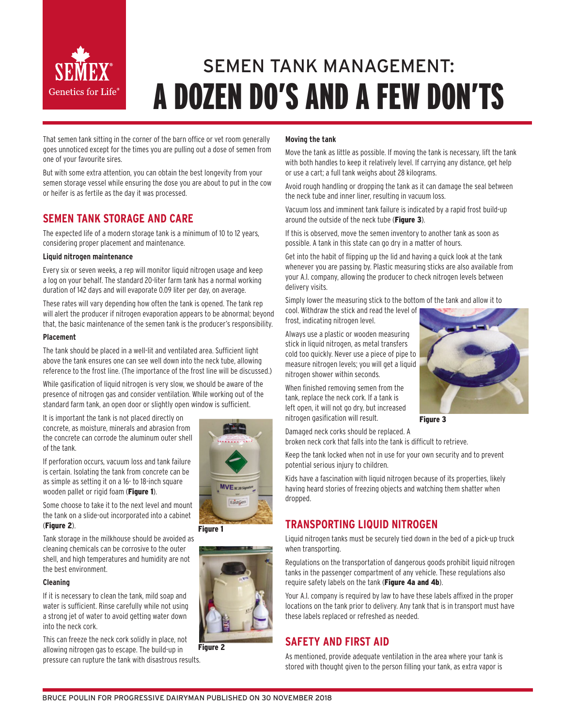

# SEMEN TANK MANAGEMENT: A DOZEN DO'S AND A FEW DON'TS

That semen tank sitting in the corner of the barn office or vet room generally goes unnoticed except for the times you are pulling out a dose of semen from one of your favourite sires.

But with some extra attention, you can obtain the best longevity from your semen storage vessel while ensuring the dose you are about to put in the cow or heifer is as fertile as the day it was processed.

# **SEMEN TANK STORAGE AND CARE**

The expected life of a modern storage tank is a minimum of 10 to 12 years, considering proper placement and maintenance.

#### **Liquid nitrogen maintenance**

Every six or seven weeks, a rep will monitor liquid nitrogen usage and keep a log on your behalf. The standard 20-liter farm tank has a normal working duration of 142 days and will evaporate 0.09 liter per day, on average.

These rates will vary depending how often the tank is opened. The tank rep will alert the producer if nitrogen evaporation appears to be abnormal; beyond that, the basic maintenance of the semen tank is the producer's responsibility.

#### **Placement**

The tank should be placed in a well-lit and ventilated area. Sufficient light above the tank ensures one can see well down into the neck tube, allowing reference to the frost line. (The importance of the frost line will be discussed.)

While gasification of liquid nitrogen is very slow, we should be aware of the presence of nitrogen gas and consider ventilation. While working out of the standard farm tank, an open door or slightly open window is sufficient.

It is important the tank is not placed directly on concrete, as moisture, minerals and abrasion from the concrete can corrode the aluminum outer shell of the tank.

If perforation occurs, vacuum loss and tank failure is certain. Isolating the tank from concrete can be as simple as setting it on a 16- to 18-inch square wooden pallet or rigid foam (Figure 1).

Some choose to take it to the next level and mount the tank on a slide-out incorporated into a cabinet (Figure 2).

Tank storage in the milkhouse should be avoided as cleaning chemicals can be corrosive to the outer shell, and high temperatures and humidity are not the best environment.

#### **Cleaning**

If it is necessary to clean the tank, mild soap and water is sufficient. Rinse carefully while not using a strong jet of water to avoid getting water down into the neck cork.

This can freeze the neck cork solidly in place, not allowing nitrogen gas to escape. The build-up in pressure can rupture the tank with disastrous results. Figure 2

#### **Moving the tank**

Move the tank as little as possible. If moving the tank is necessary, lift the tank with both handles to keep it relatively level. If carrying any distance, get help or use a cart; a full tank weighs about 28 kilograms.

Avoid rough handling or dropping the tank as it can damage the seal between the neck tube and inner liner, resulting in vacuum loss.

Vacuum loss and imminent tank failure is indicated by a rapid frost build-up around the outside of the neck tube (Figure 3).

If this is observed, move the semen inventory to another tank as soon as possible. A tank in this state can go dry in a matter of hours.

Get into the habit of flipping up the lid and having a quick look at the tank whenever you are passing by. Plastic measuring sticks are also available from your A.I. company, allowing the producer to check nitrogen levels between delivery visits.

Simply lower the measuring stick to the bottom of the tank and allow it to cool. Withdraw the stick and read the level of

frost, indicating nitrogen level.

Always use a plastic or wooden measuring stick in liquid nitrogen, as metal transfers cold too quickly. Never use a piece of pipe to measure nitrogen levels; you will get a liquid nitrogen shower within seconds.

When finished removing semen from the tank, replace the neck cork. If a tank is left open, it will not go dry, but increased nitrogen gasification will result.



Figure 3

Damaged neck corks should be replaced. A broken neck cork that falls into the tank is difficult to retrieve.

Keep the tank locked when not in use for your own security and to prevent potential serious injury to children.

Kids have a fascination with liquid nitrogen because of its properties, likely having heard stories of freezing objects and watching them shatter when dropped.

# **TRANSPORTING LIQUID NITROGEN**

Liquid nitrogen tanks must be securely tied down in the bed of a pick-up truck when transporting.

Regulations on the transportation of dangerous goods prohibit liquid nitrogen tanks in the passenger compartment of any vehicle. These regulations also require safety labels on the tank (Figure 4a and 4b).

Your A.I. company is required by law to have these labels affixed in the proper locations on the tank prior to delivery. Any tank that is in transport must have these labels replaced or refreshed as needed.

## **SAFETY AND FIRST AID**

As mentioned, provide adequate ventilation in the area where your tank is stored with thought given to the person filling your tank, as extra vapor is

**MVE** xcassance EastGen Figure 1